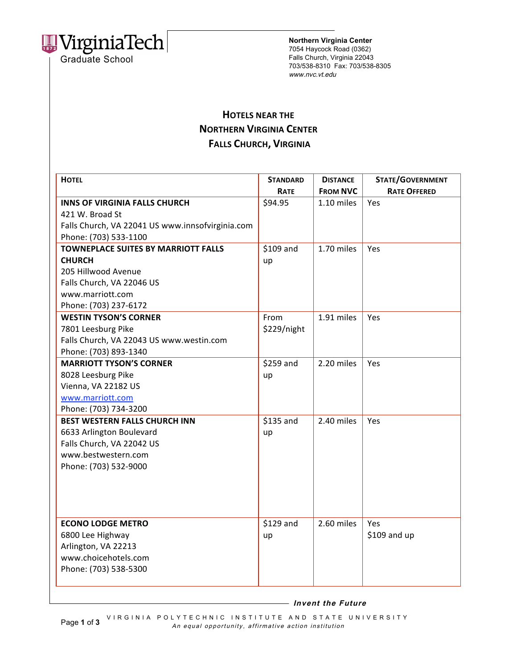

**Northern Virginia Center** 7054 Haycock Road (0362) Falls Church, Virginia 22043 703/538-8310 Fax: 703/538-8305 www.nvc.vt.edu

## **HOTELS
NEAR
THE NORTHERN
VIRGINIA
CENTER FALLS
CHURCH, VIRGINIA**

| <b>HOTEL</b>                                     | <b>STANDARD</b><br>RATE | <b>DISTANCE</b><br><b>FROM NVC</b> | <b>STATE/GOVERNMENT</b><br><b>RATE OFFERED</b> |
|--------------------------------------------------|-------------------------|------------------------------------|------------------------------------------------|
| <b>INNS OF VIRGINIA FALLS CHURCH</b>             | \$94.95                 | 1.10 miles                         | Yes                                            |
| 421 W. Broad St                                  |                         |                                    |                                                |
| Falls Church, VA 22041 US www.innsofvirginia.com |                         |                                    |                                                |
| Phone: (703) 533-1100                            |                         |                                    |                                                |
| <b>TOWNEPLACE SUITES BY MARRIOTT FALLS</b>       | \$109 and               | 1.70 miles                         | Yes                                            |
| <b>CHURCH</b>                                    | up                      |                                    |                                                |
| 205 Hillwood Avenue                              |                         |                                    |                                                |
| Falls Church, VA 22046 US                        |                         |                                    |                                                |
| www.marriott.com                                 |                         |                                    |                                                |
| Phone: (703) 237-6172                            |                         |                                    |                                                |
| <b>WESTIN TYSON'S CORNER</b>                     | From                    | 1.91 miles                         | Yes                                            |
| 7801 Leesburg Pike                               | \$229/night             |                                    |                                                |
| Falls Church, VA 22043 US www.westin.com         |                         |                                    |                                                |
| Phone: (703) 893-1340                            |                         |                                    |                                                |
| <b>MARRIOTT TYSON'S CORNER</b>                   | \$259 and               | 2.20 miles                         | Yes                                            |
| 8028 Leesburg Pike                               | up                      |                                    |                                                |
| Vienna, VA 22182 US                              |                         |                                    |                                                |
| www.marriott.com                                 |                         |                                    |                                                |
| Phone: (703) 734-3200                            |                         |                                    |                                                |
| <b>BEST WESTERN FALLS CHURCH INN</b>             | \$135 and               | 2.40 miles                         | Yes                                            |
| 6633 Arlington Boulevard                         | up                      |                                    |                                                |
| Falls Church, VA 22042 US                        |                         |                                    |                                                |
| www.bestwestern.com                              |                         |                                    |                                                |
| Phone: (703) 532-9000                            |                         |                                    |                                                |
|                                                  |                         |                                    |                                                |
|                                                  |                         |                                    |                                                |
|                                                  |                         |                                    |                                                |
|                                                  |                         |                                    |                                                |
| <b>ECONO LODGE METRO</b>                         | \$129 and               | 2.60 miles                         | Yes                                            |
| 6800 Lee Highway                                 | up                      |                                    | \$109 and up                                   |
| Arlington, VA 22213                              |                         |                                    |                                                |
| www.choicehotels.com                             |                         |                                    |                                                |
| Phone: (703) 538-5300                            |                         |                                    |                                                |
|                                                  |                         |                                    |                                                |

 **Invent the Future**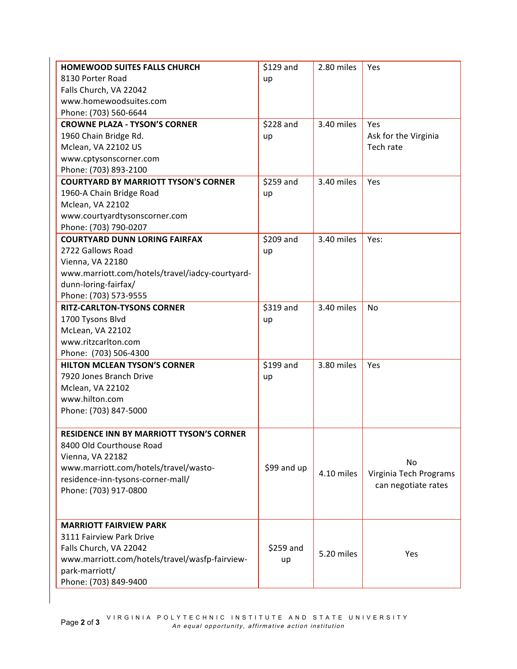| 8130 Porter Road<br>up<br>Falls Church, VA 22042<br>www.homewoodsuites.com<br>Phone: (703) 560-6644<br>\$228 and<br>3.40 miles<br><b>CROWNE PLAZA - TYSON'S CORNER</b><br>Yes<br>1960 Chain Bridge Rd.<br>Ask for the Virginia<br>up<br>Tech rate<br>Mclean, VA 22102 US<br>www.cptysonscorner.com<br>Phone: (703) 893-2100<br>\$259 and<br>3.40 miles<br><b>COURTYARD BY MARRIOTT TYSON'S CORNER</b><br>Yes<br>1960-A Chain Bridge Road<br>up<br>Mclean, VA 22102<br>www.courtyardtysonscorner.com<br>Phone: (703) 790-0207<br>\$209 and<br>3.40 miles<br><b>COURTYARD DUNN LORING FAIRFAX</b><br>Yes:<br>2722 Gallows Road<br>up<br>Vienna, VA 22180<br>www.marriott.com/hotels/travel/iadcy-courtyard-<br>dunn-loring-fairfax/<br>Phone: (703) 573-9555<br>\$319 and<br>3.40 miles<br><b>RITZ-CARLTON-TYSONS CORNER</b><br>No<br>1700 Tysons Blvd<br>up<br>McLean, VA 22102<br>www.ritzcarlton.com<br>Phone: (703) 506-4300<br>\$199 and<br><b>HILTON MCLEAN TYSON'S CORNER</b><br>3.80 miles<br>Yes<br>7920 Jones Branch Drive<br>up<br>Mclean, VA 22102<br>www.hilton.com<br>Phone: (703) 847-5000<br><b>RESIDENCE INN BY MARRIOTT TYSON'S CORNER</b><br>8400 Old Courthouse Road<br>Vienna, VA 22182<br>No<br>www.marriott.com/hotels/travel/wasto-<br>\$99 and up<br>4.10 miles<br>Virginia Tech Programs<br>residence-inn-tysons-corner-mall/<br>can negotiate rates<br>Phone: (703) 917-0800 | <b>HOMEWOOD SUITES FALLS CHURCH</b> | \$129 and | 2.80 miles | Yes |
|-------------------------------------------------------------------------------------------------------------------------------------------------------------------------------------------------------------------------------------------------------------------------------------------------------------------------------------------------------------------------------------------------------------------------------------------------------------------------------------------------------------------------------------------------------------------------------------------------------------------------------------------------------------------------------------------------------------------------------------------------------------------------------------------------------------------------------------------------------------------------------------------------------------------------------------------------------------------------------------------------------------------------------------------------------------------------------------------------------------------------------------------------------------------------------------------------------------------------------------------------------------------------------------------------------------------------------------------------------------------------------------------------------|-------------------------------------|-----------|------------|-----|
|                                                                                                                                                                                                                                                                                                                                                                                                                                                                                                                                                                                                                                                                                                                                                                                                                                                                                                                                                                                                                                                                                                                                                                                                                                                                                                                                                                                                       |                                     |           |            |     |
|                                                                                                                                                                                                                                                                                                                                                                                                                                                                                                                                                                                                                                                                                                                                                                                                                                                                                                                                                                                                                                                                                                                                                                                                                                                                                                                                                                                                       |                                     |           |            |     |
|                                                                                                                                                                                                                                                                                                                                                                                                                                                                                                                                                                                                                                                                                                                                                                                                                                                                                                                                                                                                                                                                                                                                                                                                                                                                                                                                                                                                       |                                     |           |            |     |
|                                                                                                                                                                                                                                                                                                                                                                                                                                                                                                                                                                                                                                                                                                                                                                                                                                                                                                                                                                                                                                                                                                                                                                                                                                                                                                                                                                                                       |                                     |           |            |     |
|                                                                                                                                                                                                                                                                                                                                                                                                                                                                                                                                                                                                                                                                                                                                                                                                                                                                                                                                                                                                                                                                                                                                                                                                                                                                                                                                                                                                       |                                     |           |            |     |
|                                                                                                                                                                                                                                                                                                                                                                                                                                                                                                                                                                                                                                                                                                                                                                                                                                                                                                                                                                                                                                                                                                                                                                                                                                                                                                                                                                                                       |                                     |           |            |     |
|                                                                                                                                                                                                                                                                                                                                                                                                                                                                                                                                                                                                                                                                                                                                                                                                                                                                                                                                                                                                                                                                                                                                                                                                                                                                                                                                                                                                       |                                     |           |            |     |
|                                                                                                                                                                                                                                                                                                                                                                                                                                                                                                                                                                                                                                                                                                                                                                                                                                                                                                                                                                                                                                                                                                                                                                                                                                                                                                                                                                                                       |                                     |           |            |     |
|                                                                                                                                                                                                                                                                                                                                                                                                                                                                                                                                                                                                                                                                                                                                                                                                                                                                                                                                                                                                                                                                                                                                                                                                                                                                                                                                                                                                       |                                     |           |            |     |
|                                                                                                                                                                                                                                                                                                                                                                                                                                                                                                                                                                                                                                                                                                                                                                                                                                                                                                                                                                                                                                                                                                                                                                                                                                                                                                                                                                                                       |                                     |           |            |     |
|                                                                                                                                                                                                                                                                                                                                                                                                                                                                                                                                                                                                                                                                                                                                                                                                                                                                                                                                                                                                                                                                                                                                                                                                                                                                                                                                                                                                       |                                     |           |            |     |
|                                                                                                                                                                                                                                                                                                                                                                                                                                                                                                                                                                                                                                                                                                                                                                                                                                                                                                                                                                                                                                                                                                                                                                                                                                                                                                                                                                                                       |                                     |           |            |     |
|                                                                                                                                                                                                                                                                                                                                                                                                                                                                                                                                                                                                                                                                                                                                                                                                                                                                                                                                                                                                                                                                                                                                                                                                                                                                                                                                                                                                       |                                     |           |            |     |
|                                                                                                                                                                                                                                                                                                                                                                                                                                                                                                                                                                                                                                                                                                                                                                                                                                                                                                                                                                                                                                                                                                                                                                                                                                                                                                                                                                                                       |                                     |           |            |     |
|                                                                                                                                                                                                                                                                                                                                                                                                                                                                                                                                                                                                                                                                                                                                                                                                                                                                                                                                                                                                                                                                                                                                                                                                                                                                                                                                                                                                       |                                     |           |            |     |
|                                                                                                                                                                                                                                                                                                                                                                                                                                                                                                                                                                                                                                                                                                                                                                                                                                                                                                                                                                                                                                                                                                                                                                                                                                                                                                                                                                                                       |                                     |           |            |     |
|                                                                                                                                                                                                                                                                                                                                                                                                                                                                                                                                                                                                                                                                                                                                                                                                                                                                                                                                                                                                                                                                                                                                                                                                                                                                                                                                                                                                       |                                     |           |            |     |
|                                                                                                                                                                                                                                                                                                                                                                                                                                                                                                                                                                                                                                                                                                                                                                                                                                                                                                                                                                                                                                                                                                                                                                                                                                                                                                                                                                                                       |                                     |           |            |     |
|                                                                                                                                                                                                                                                                                                                                                                                                                                                                                                                                                                                                                                                                                                                                                                                                                                                                                                                                                                                                                                                                                                                                                                                                                                                                                                                                                                                                       |                                     |           |            |     |
|                                                                                                                                                                                                                                                                                                                                                                                                                                                                                                                                                                                                                                                                                                                                                                                                                                                                                                                                                                                                                                                                                                                                                                                                                                                                                                                                                                                                       |                                     |           |            |     |
|                                                                                                                                                                                                                                                                                                                                                                                                                                                                                                                                                                                                                                                                                                                                                                                                                                                                                                                                                                                                                                                                                                                                                                                                                                                                                                                                                                                                       |                                     |           |            |     |
|                                                                                                                                                                                                                                                                                                                                                                                                                                                                                                                                                                                                                                                                                                                                                                                                                                                                                                                                                                                                                                                                                                                                                                                                                                                                                                                                                                                                       |                                     |           |            |     |
|                                                                                                                                                                                                                                                                                                                                                                                                                                                                                                                                                                                                                                                                                                                                                                                                                                                                                                                                                                                                                                                                                                                                                                                                                                                                                                                                                                                                       |                                     |           |            |     |
|                                                                                                                                                                                                                                                                                                                                                                                                                                                                                                                                                                                                                                                                                                                                                                                                                                                                                                                                                                                                                                                                                                                                                                                                                                                                                                                                                                                                       |                                     |           |            |     |
|                                                                                                                                                                                                                                                                                                                                                                                                                                                                                                                                                                                                                                                                                                                                                                                                                                                                                                                                                                                                                                                                                                                                                                                                                                                                                                                                                                                                       |                                     |           |            |     |
|                                                                                                                                                                                                                                                                                                                                                                                                                                                                                                                                                                                                                                                                                                                                                                                                                                                                                                                                                                                                                                                                                                                                                                                                                                                                                                                                                                                                       |                                     |           |            |     |
|                                                                                                                                                                                                                                                                                                                                                                                                                                                                                                                                                                                                                                                                                                                                                                                                                                                                                                                                                                                                                                                                                                                                                                                                                                                                                                                                                                                                       |                                     |           |            |     |
|                                                                                                                                                                                                                                                                                                                                                                                                                                                                                                                                                                                                                                                                                                                                                                                                                                                                                                                                                                                                                                                                                                                                                                                                                                                                                                                                                                                                       |                                     |           |            |     |
|                                                                                                                                                                                                                                                                                                                                                                                                                                                                                                                                                                                                                                                                                                                                                                                                                                                                                                                                                                                                                                                                                                                                                                                                                                                                                                                                                                                                       |                                     |           |            |     |
|                                                                                                                                                                                                                                                                                                                                                                                                                                                                                                                                                                                                                                                                                                                                                                                                                                                                                                                                                                                                                                                                                                                                                                                                                                                                                                                                                                                                       |                                     |           |            |     |
|                                                                                                                                                                                                                                                                                                                                                                                                                                                                                                                                                                                                                                                                                                                                                                                                                                                                                                                                                                                                                                                                                                                                                                                                                                                                                                                                                                                                       |                                     |           |            |     |
|                                                                                                                                                                                                                                                                                                                                                                                                                                                                                                                                                                                                                                                                                                                                                                                                                                                                                                                                                                                                                                                                                                                                                                                                                                                                                                                                                                                                       |                                     |           |            |     |
|                                                                                                                                                                                                                                                                                                                                                                                                                                                                                                                                                                                                                                                                                                                                                                                                                                                                                                                                                                                                                                                                                                                                                                                                                                                                                                                                                                                                       |                                     |           |            |     |
|                                                                                                                                                                                                                                                                                                                                                                                                                                                                                                                                                                                                                                                                                                                                                                                                                                                                                                                                                                                                                                                                                                                                                                                                                                                                                                                                                                                                       |                                     |           |            |     |
|                                                                                                                                                                                                                                                                                                                                                                                                                                                                                                                                                                                                                                                                                                                                                                                                                                                                                                                                                                                                                                                                                                                                                                                                                                                                                                                                                                                                       |                                     |           |            |     |
|                                                                                                                                                                                                                                                                                                                                                                                                                                                                                                                                                                                                                                                                                                                                                                                                                                                                                                                                                                                                                                                                                                                                                                                                                                                                                                                                                                                                       |                                     |           |            |     |
|                                                                                                                                                                                                                                                                                                                                                                                                                                                                                                                                                                                                                                                                                                                                                                                                                                                                                                                                                                                                                                                                                                                                                                                                                                                                                                                                                                                                       |                                     |           |            |     |
|                                                                                                                                                                                                                                                                                                                                                                                                                                                                                                                                                                                                                                                                                                                                                                                                                                                                                                                                                                                                                                                                                                                                                                                                                                                                                                                                                                                                       |                                     |           |            |     |
|                                                                                                                                                                                                                                                                                                                                                                                                                                                                                                                                                                                                                                                                                                                                                                                                                                                                                                                                                                                                                                                                                                                                                                                                                                                                                                                                                                                                       |                                     |           |            |     |
| <b>MARRIOTT FAIRVIEW PARK</b>                                                                                                                                                                                                                                                                                                                                                                                                                                                                                                                                                                                                                                                                                                                                                                                                                                                                                                                                                                                                                                                                                                                                                                                                                                                                                                                                                                         |                                     |           |            |     |
| 3111 Fairview Park Drive                                                                                                                                                                                                                                                                                                                                                                                                                                                                                                                                                                                                                                                                                                                                                                                                                                                                                                                                                                                                                                                                                                                                                                                                                                                                                                                                                                              |                                     |           |            |     |
| Falls Church, VA 22042<br>\$259 and<br>5.20 miles<br>Yes                                                                                                                                                                                                                                                                                                                                                                                                                                                                                                                                                                                                                                                                                                                                                                                                                                                                                                                                                                                                                                                                                                                                                                                                                                                                                                                                              |                                     |           |            |     |
| www.marriott.com/hotels/travel/wasfp-fairview-<br>up                                                                                                                                                                                                                                                                                                                                                                                                                                                                                                                                                                                                                                                                                                                                                                                                                                                                                                                                                                                                                                                                                                                                                                                                                                                                                                                                                  |                                     |           |            |     |
| park-marriott/                                                                                                                                                                                                                                                                                                                                                                                                                                                                                                                                                                                                                                                                                                                                                                                                                                                                                                                                                                                                                                                                                                                                                                                                                                                                                                                                                                                        |                                     |           |            |     |
| Phone: (703) 849-9400                                                                                                                                                                                                                                                                                                                                                                                                                                                                                                                                                                                                                                                                                                                                                                                                                                                                                                                                                                                                                                                                                                                                                                                                                                                                                                                                                                                 |                                     |           |            |     |